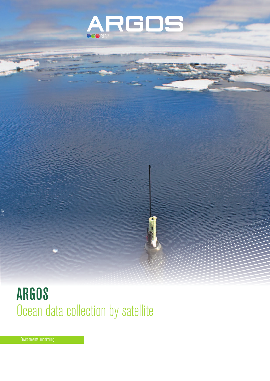

# ARGOS Ocean data collection by satellite

*© AWI*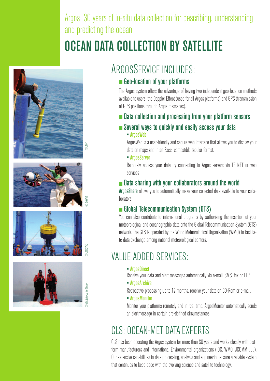Argos: 30 years of in-situ data collection for describing, understanding and predicting the ocean

# OCEAN DATA COLLECTION BY SATELLITE











## ARGOSSERVICE INCLUDES:

### Geo-location of your platforms

The Argos system offers the advantage of having two independent geo-location methods available to users: the Doppler Effect (used for all Argos platforms) and GPS (transmission of GPS positions through Argos messages).

### **Example 2 Data collection and processing from your platform sensors**

### Several ways to quickly and easily access your data

#### • ArgosWeb

ArgosWeb is a user-friendly and secure web interface that allows you to display your data on maps and in an Excel-compatible tabular format.

#### • ArgosServer

Remotely access your data by connecting to Argos servers via TELNET or web services

### **n** Data sharing with your collaborators around the world

ArgosShare allows you to automatically make your collected data available to your collaborators.

### Global Telecommunication System (GTS)

You can also contribute to international programs by authorizing the insertion of your meteorological and oceanographic data onto the Global Telecommunication System (GTS) network. The GTS is operated by the World Meteorological Organization (WMO) to facilitate data exchange among national meteorological centers.

## VALUE ADDED SERVICES:

• ArgosDirect

Receive your data and alert messages automatically via e-mail, SMS, fax or FTP.

• ArgosArchive

Retroactive processing up to 12 months, receive your data on CD-Rom or e-mail.

• ArgosMonitor

Monitor your platforms remotely and in real-time. ArgosMonitor automatically sends an alertmessage in certain pre-defined circumstances

## CLS: OCEAN-MET DATA EXPERTS

CLS has been operating the Argos system for more than 30 years and works closely with platform manufacturers and International Environmental organizations (IOC, WMO, JCOMM ...). Our extensive capabilities in data processing, analysis and engineering ensure a reliable system that continues to keep pace with the evolving science and satellite technology.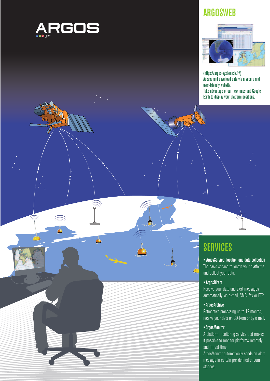

## ARGOSWEB



(https://argos-system.cls.fr/) Access and download data via a secure and user-friendly website. Take advantage of our new maps and Google Earth to display your platform positions.

**THE 3** 

## **SERVICES**

• ArgosService: location and data collection The basic service to locate your platforms and collect your data.

#### •ArgosDirect

Receive your data and alert messages automatically via e-mail, SMS, fax or FTP.

#### •ArgosArchive

Retroactive processing up to 12 months, receive your data on CD-Rom or by e mail.

#### •ArgosMonitor

A platform monitoring service that makes it possible to monitor platforms remotely and in real-time.

ArgosMonitor automatically sends an alert message in certain pre-defined circumstances.